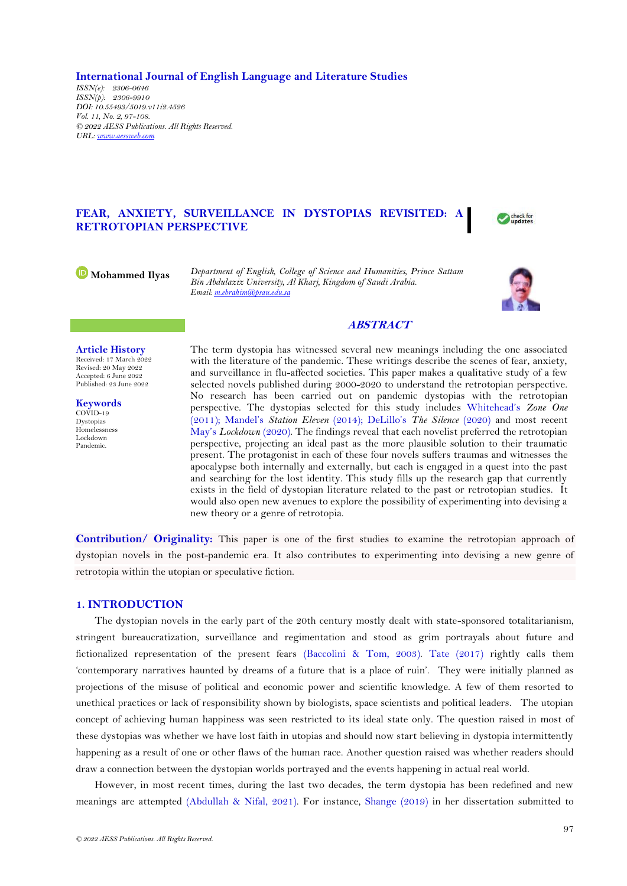**International Journal of English Language and Literature Studies**

*ISSN(e): 2306-0646 ISSN(p): 2306-9910 DOI: 10.55493/5019.v11i2.4526 Vol. 11, No. 2, 97-108. © 2022 AESS Publications. All Rights Reserved. URL: [www.aessweb.com](http://www.aessweb.com/)*

# **FEAR, ANXIETY, SURVEILLANCE IN DYSTOPIAS REVISITED: A RETROTOPIAN PERSPECTIVE**

Check for

**Mohammed Ilyas** *Department of English, College of Science and Humanities, Prince Sattam Bin Abdulaziz University, Al Kharj, Kingdom of Saudi Arabia. Email[: m.ebrahim@psau.edu.sa](mailto:m.ebrahim@psau.edu.sa)*



# **ABSTRACT**

**Article History** Received: 17 March 2022 Revised: 20 May 2022 Accepted: 6 June 2022 Published: 23 June 2022

**Keywords** COVID-19 Dystopias Homelessness Lockdown Pandemic.

The term dystopia has witnessed several new meanings including the one associated with the literature of the pandemic. These writings describe the scenes of fear, anxiety, and surveillance in flu-affected societies. This paper makes a qualitative study of a few selected novels published during 2000-2020 to understand the retrotopian perspective. No research has been carried out on pandemic dystopias with the retrotopian perspective. The dystopias selected for this study includes [Whitehead](#page-11-0)'s *Zone One* [\(2011\)](#page-11-0); Mandel's *[Station Eleven](#page-10-0)* (2014); DeLillo's *[The Silence](#page-10-1)* (2020) and most recent May's *[Lockdown](#page-10-2)* (2020). The findings reveal that each novelist preferred the retrotopian perspective, projecting an ideal past as the more plausible solution to their traumatic present. The protagonist in each of these four novels suffers traumas and witnesses the apocalypse both internally and externally, but each is engaged in a quest into the past and searching for the lost identity. This study fills up the research gap that currently exists in the field of dystopian literature related to the past or retrotopian studies. It would also open new avenues to explore the possibility of experimenting into devising a new theory or a genre of retrotopia.

**Contribution/ Originality:** This paper is one of the first studies to examine the retrotopian approach of dystopian novels in the post-pandemic era. It also contributes to experimenting into devising a new genre of retrotopia within the utopian or speculative fiction.

# **1. INTRODUCTION**

The dystopian novels in the early part of the 20th century mostly dealt with state-sponsored totalitarianism, stringent bureaucratization, surveillance and regimentation and stood as grim portrayals about future and fictionalized representation of the present fears [\(Baccolini & Tom, 2003\)](#page-9-0). [Tate \(2017\)](#page-11-1) rightly calls them 'contemporary narratives haunted by dreams of a future that is a place of ruin'. They were initially planned as projections of the misuse of political and economic power and scientific knowledge. A few of them resorted to unethical practices or lack of responsibility shown by biologists, space scientists and political leaders. The utopian concept of achieving human happiness was seen restricted to its ideal state only. The question raised in most of these dystopias was whether we have lost faith in utopias and should now start believing in dystopia intermittently happening as a result of one or other flaws of the human race. Another question raised was whether readers should draw a connection between the dystopian worlds portrayed and the events happening in actual real world.

However, in most recent times, during the last two decades, the term dystopia has been redefined and new meanings are attempted [\(Abdullah & Nifal, 2021\)](#page-9-1). For instance, [Shange \(2019\)](#page-11-2) in her dissertation submitted to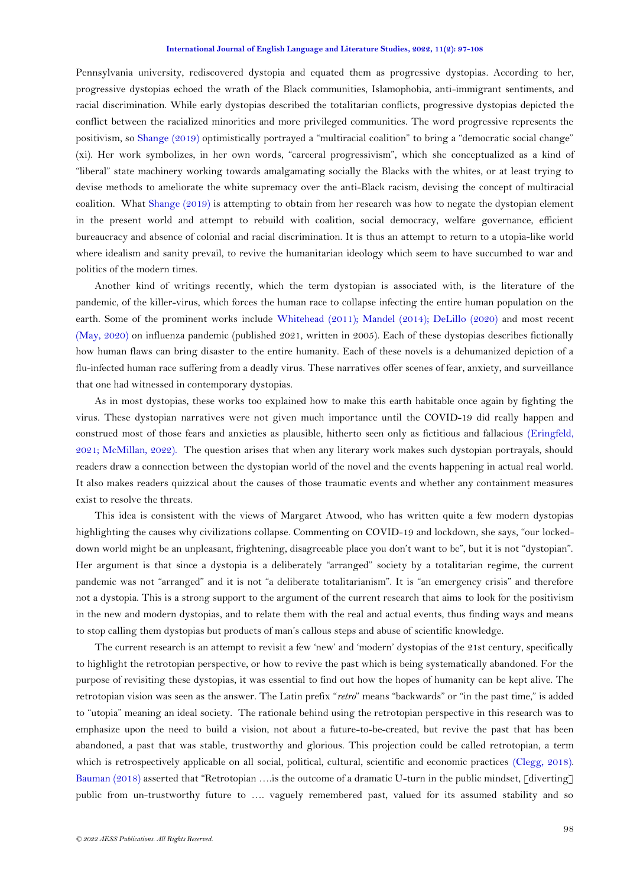Pennsylvania university, rediscovered dystopia and equated them as progressive dystopias. According to her, progressive dystopias echoed the wrath of the Black communities, Islamophobia, anti-immigrant sentiments, and racial discrimination. While early dystopias described the totalitarian conflicts, progressive dystopias depicted the conflict between the racialized minorities and more privileged communities. The word progressive represents the positivism, so [Shange \(2019\)](#page-11-2) optimistically portrayed a "multiracial coalition" to bring a "democratic social change" (xi). Her work symbolizes, in her own words, "carceral progressivism", which she conceptualized as a kind of "liberal" state machinery working towards amalgamating socially the Blacks with the whites, or at least trying to devise methods to ameliorate the white supremacy over the anti-Black racism, devising the concept of multiracial coalition. What [Shange \(2019\)](#page-11-2) is attempting to obtain from her research was how to negate the dystopian element in the present world and attempt to rebuild with coalition, social democracy, welfare governance, efficient bureaucracy and absence of colonial and racial discrimination. It is thus an attempt to return to a utopia-like world where idealism and sanity prevail, to revive the humanitarian ideology which seem to have succumbed to war and politics of the modern times.

Another kind of writings recently, which the term dystopian is associated with, is the literature of the pandemic, of the killer-virus, which forces the human race to collapse infecting the entire human population on the earth. Some of the prominent works include [Whitehead \(2011\)](#page-11-0); [Mandel \(2014\)](#page-10-0); [DeLillo \(2020\)](#page-10-1) and most recent [\(May, 2020\)](#page-10-2) on influenza pandemic (published 2021, written in 2005). Each of these dystopias describes fictionally how human flaws can bring disaster to the entire humanity. Each of these novels is a dehumanized depiction of a flu-infected human race suffering from a deadly virus. These narratives offer scenes of fear, anxiety, and surveillance that one had witnessed in contemporary dystopias.

As in most dystopias, these works too explained how to make this earth habitable once again by fighting the virus. These dystopian narratives were not given much importance until the COVID-19 did really happen and construed most of those fears and anxieties as plausible, hitherto seen only as fictitious and fallacious [\(Eringfeld,](#page-10-3)  [2021;](#page-10-3) [McMillan, 2022\)](#page-10-4). The question arises that when any literary work makes such dystopian portrayals, should readers draw a connection between the dystopian world of the novel and the events happening in actual real world. It also makes readers quizzical about the causes of those traumatic events and whether any containment measures exist to resolve the threats.

This idea is consistent with the views of Margaret Atwood, who has written quite a few modern dystopias highlighting the causes why civilizations collapse. Commenting on COVID-19 and lockdown, she says, "our lockeddown world might be an unpleasant, frightening, disagreeable place you don't want to be", but it is not "dystopian". Her argument is that since a dystopia is a deliberately "arranged" society by a totalitarian regime, the current pandemic was not "arranged" and it is not "a deliberate totalitarianism". It is "an emergency crisis" and therefore not a dystopia. This is a strong support to the argument of the current research that aims to look for the positivism in the new and modern dystopias, and to relate them with the real and actual events, thus finding ways and means to stop calling them dystopias but products of man's callous steps and abuse of scientific knowledge.

The current research is an attempt to revisit a few 'new' and 'modern' dystopias of the 21st century, specifically to highlight the retrotopian perspective, or how to revive the past which is being systematically abandoned. For the purpose of revisiting these dystopias, it was essential to find out how the hopes of humanity can be kept alive. The retrotopian vision was seen as the answer. The Latin prefix "*retro*" means "backwards" or "in the past time," is added to "utopia" meaning an ideal society. The rationale behind using the retrotopian perspective in this research was to emphasize upon the need to build a vision, not about a future-to-be-created, but revive the past that has been abandoned, a past that was stable, trustworthy and glorious. This projection could be called retrotopian, a term which is retrospectively applicable on all social, political, cultural, scientific and economic practices [\(Clegg, 2018\)](#page-10-5). [Bauman \(2018\)](#page-9-2) asserted that "Retrotopian ….is the outcome of a dramatic U-turn in the public mindset, [diverting] public from un-trustworthy future to …. vaguely remembered past, valued for its assumed stability and so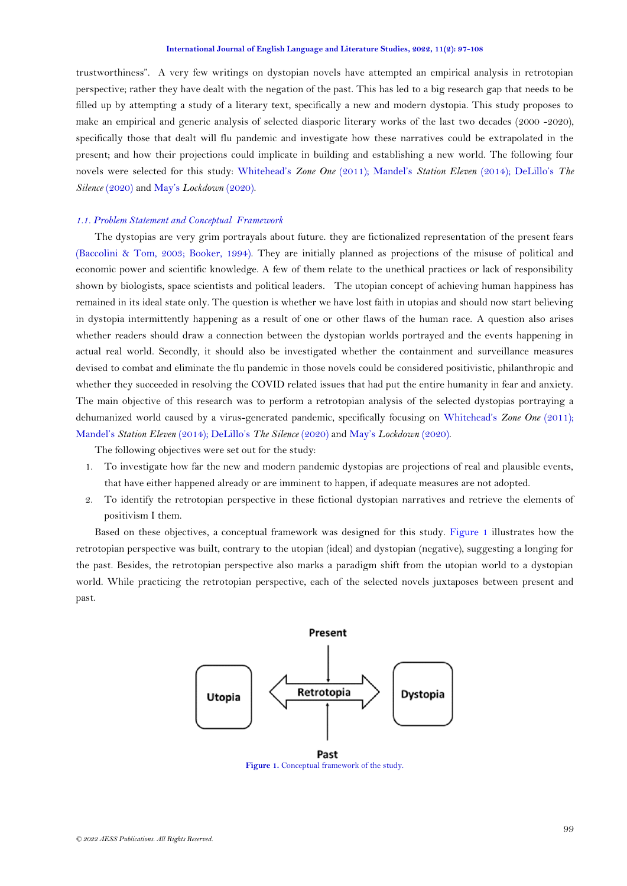trustworthiness". A very few writings on dystopian novels have attempted an empirical analysis in retrotopian perspective; rather they have dealt with the negation of the past. This has led to a big research gap that needs to be filled up by attempting a study of a literary text, specifically a new and modern dystopia. This study proposes to make an empirical and generic analysis of selected diasporic literary works of the last two decades (2000 -2020), specifically those that dealt will flu pandemic and investigate how these narratives could be extrapolated in the present; and how their projections could implicate in building and establishing a new world. The following four novels were selected for this study: [Whitehead](#page-11-0)'s *Zone One* (2011); Mandel's *[Station Eleven](#page-10-0)* (2014); [DeLillo](#page-10-1)'s *[The](#page-10-1)  [Silence](#page-10-1)* (2020) and May's *[Lockdown](#page-10-2)* (2020).

## *1.1. Problem Statement and Conceptual Framework*

The dystopias are very grim portrayals about future. they are fictionalized representation of the present fears [\(Baccolini & Tom, 2003;](#page-9-0) [Booker, 1994\)](#page-9-3). They are initially planned as projections of the misuse of political and economic power and scientific knowledge. A few of them relate to the unethical practices or lack of responsibility shown by biologists, space scientists and political leaders. The utopian concept of achieving human happiness has remained in its ideal state only. The question is whether we have lost faith in utopias and should now start believing in dystopia intermittently happening as a result of one or other flaws of the human race. A question also arises whether readers should draw a connection between the dystopian worlds portrayed and the events happening in actual real world. Secondly, it should also be investigated whether the containment and surveillance measures devised to combat and eliminate the flu pandemic in those novels could be considered positivistic, philanthropic and whether they succeeded in resolving the COVID related issues that had put the entire humanity in fear and anxiety. The main objective of this research was to perform a retrotopian analysis of the selected dystopias portraying a dehumanized world caused by a virus-generated pandemic, specifically focusing on [Whitehead](#page-11-0)'s *Zone One* (2011); Mandel's *[Station Eleven](#page-10-0)* (2014); DeLillo's *[The Silence](#page-10-1)* (2020) and May's *[Lockdown](#page-10-2)* (2020).

The following objectives were set out for the study:

- 1. To investigate how far the new and modern pandemic dystopias are projections of real and plausible events, that have either happened already or are imminent to happen, if adequate measures are not adopted.
- 2. To identify the retrotopian perspective in these fictional dystopian narratives and retrieve the elements of positivism I them.

Based on these objectives, a conceptual framework was designed for this study. [Figure 1](#page-2-0) illustrates how the retrotopian perspective was built, contrary to the utopian (ideal) and dystopian (negative), suggesting a longing for the past. Besides, the retrotopian perspective also marks a paradigm shift from the utopian world to a dystopian world. While practicing the retrotopian perspective, each of the selected novels juxtaposes between present and past.



<span id="page-2-0"></span>Past **Figure 1.** Conceptual framework of the study.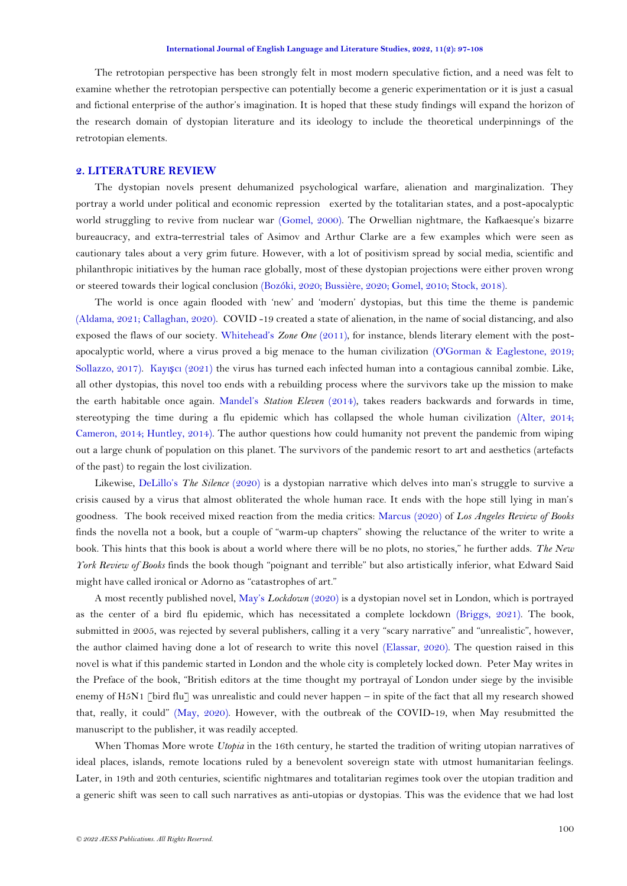The retrotopian perspective has been strongly felt in most modern speculative fiction, and a need was felt to examine whether the retrotopian perspective can potentially become a generic experimentation or it is just a casual and fictional enterprise of the author's imagination. It is hoped that these study findings will expand the horizon of the research domain of dystopian literature and its ideology to include the theoretical underpinnings of the retrotopian elements.

# **2. LITERATURE REVIEW**

The dystopian novels present dehumanized psychological warfare, alienation and marginalization. They portray a world under political and economic repression exerted by the totalitarian states, and a post-apocalyptic world struggling to revive from nuclear war [\(Gomel, 2000\)](#page-10-6). The Orwellian nightmare, the Kafkaesque's bizarre bureaucracy, and extra-terrestrial tales of Asimov and Arthur Clarke are a few examples which were seen as cautionary tales about a very grim future. However, with a lot of positivism spread by social media, scientific and philanthropic initiatives by the human race globally, most of these dystopian projections were either proven wrong or steered towards their logical conclusion [\(Bozóki, 2020;](#page-9-4) [Bussière, 2020;](#page-9-5) [Gomel, 2010;](#page-10-7) [Stock, 2018\)](#page-11-3).

The world is once again flooded with 'new' and 'modern' dystopias, but this time the theme is pandemic [\(Aldama, 2021;](#page-9-6) [Callaghan, 2020\)](#page-10-8). COVID -19 created a state of alienation, in the name of social distancing, and also exposed the flaws of our society. [Whitehead](#page-11-0)'s *Zone One* (2011), for instance, blends literary element with the postapocalyptic world, where a virus proved a big menace to the human civilization [\(O'Gorman & Eaglestone, 2019;](#page-11-4) [Sollazzo, 2017\)](#page-11-5). Kayışcı [\(2021\)](#page-10-9) the virus has turned each infected human into a contagious cannibal zombie. Like, all other dystopias, this novel too ends with a rebuilding process where the survivors take up the mission to make the earth habitable once again. Mandel's *[Station Eleven](#page-10-0)* (2014), takes readers backwards and forwards in time, stereotyping the time during a flu epidemic which has collapsed the whole human civilization [\(Alter, 2014;](#page-9-7) [Cameron, 2014;](#page-10-10) [Huntley, 2014\)](#page-10-11). The author questions how could humanity not prevent the pandemic from wiping out a large chunk of population on this planet. The survivors of the pandemic resort to art and aesthetics (artefacts of the past) to regain the lost civilization.

Likewise, DeLillo's *[The Silence](#page-10-1)* (2020) is a dystopian narrative which delves into man's struggle to survive a crisis caused by a virus that almost obliterated the whole human race. It ends with the hope still lying in man's goodness. The book received mixed reaction from the media critics: [Marcus \(2020\)](#page-10-12) of *Los Angeles Review of Books* finds the novella not a book, but a couple of "warm-up chapters" showing the reluctance of the writer to write a book. This hints that this book is about a world where there will be no plots, no stories," he further adds. *The New York Review of Books* finds the book though "poignant and terrible" but also artistically inferior, what Edward Said might have called ironical or Adorno as "catastrophes of art."

A most recently published novel, May's *[Lockdown](#page-10-2)* (2020) is a dystopian novel set in London, which is portrayed as the center of a bird flu epidemic, which has necessitated a complete lockdown [\(Briggs, 2021\)](#page-9-8). The book, submitted in 2005, was rejected by several publishers, calling it a very "scary narrative" and "unrealistic", however, the author claimed having done a lot of research to write this novel [\(Elassar, 2020\)](#page-10-13). The question raised in this novel is what if this pandemic started in London and the whole city is completely locked down. Peter May writes in the Preface of the book, "British editors at the time thought my portrayal of London under siege by the invisible enemy of H5N1 [bird flu] was unrealistic and could never happen – in spite of the fact that all my research showed that, really, it could" [\(May, 2020\)](#page-10-2). However, with the outbreak of the COVID-19, when May resubmitted the manuscript to the publisher, it was readily accepted.

When Thomas More wrote *Utopia* in the 16th century, he started the tradition of writing utopian narratives of ideal places, islands, remote locations ruled by a benevolent sovereign state with utmost humanitarian feelings. Later, in 19th and 20th centuries, scientific nightmares and totalitarian regimes took over the utopian tradition and a generic shift was seen to call such narratives as anti-utopias or dystopias. This was the evidence that we had lost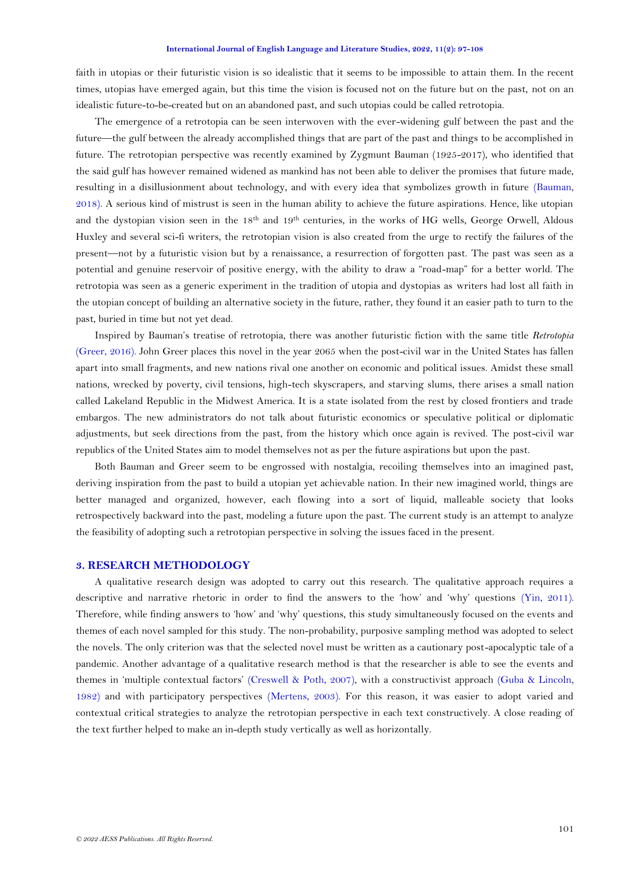faith in utopias or their futuristic vision is so idealistic that it seems to be impossible to attain them. In the recent times, utopias have emerged again, but this time the vision is focused not on the future but on the past, not on an idealistic future-to-be-created but on an abandoned past, and such utopias could be called retrotopia.

The emergence of a retrotopia can be seen interwoven with the ever-widening gulf between the past and the future—the gulf between the already accomplished things that are part of the past and things to be accomplished in future. The retrotopian perspective was recently examined by Zygmunt Bauman (1925-2017), who identified that the said gulf has however remained widened as mankind has not been able to deliver the promises that future made, resulting in a disillusionment about technology, and with every idea that symbolizes growth in future [\(Bauman,](#page-9-2)  [2018\)](#page-9-2). A serious kind of mistrust is seen in the human ability to achieve the future aspirations. Hence, like utopian and the dystopian vision seen in the 18th and 19th centuries, in the works of HG wells, George Orwell, Aldous Huxley and several sci-fi writers, the retrotopian vision is also created from the urge to rectify the failures of the present—not by a futuristic vision but by a renaissance, a resurrection of forgotten past. The past was seen as a potential and genuine reservoir of positive energy, with the ability to draw a "road-map" for a better world. The retrotopia was seen as a generic experiment in the tradition of utopia and dystopias as writers had lost all faith in the utopian concept of building an alternative society in the future, rather, they found it an easier path to turn to the past, buried in time but not yet dead.

Inspired by Bauman's treatise of retrotopia, there was another futuristic fiction with the same title *Retrotopia* [\(Greer, 2016\)](#page-10-14). [John Greer](https://www.amazon.com/John-Michael-Greer/e/B001IOFELW/ref=dp_byline_cont_book_1) places this novel in the year 2065 when the post-civil war in the United States has fallen apart into small fragments, and new nations rival one another on economic and political issues. Amidst these small nations, wrecked by poverty, civil tensions, high-tech skyscrapers, and starving slums, there arises a small nation called Lakeland Republic in the Midwest America. It is a state isolated from the rest by closed frontiers and trade embargos. The new administrators do not talk about futuristic economics or speculative political or diplomatic adjustments, but seek directions from the past, from the history which once again is revived. The post-civil war republics of the United States aim to model themselves not as per the future aspirations but upon the past.

Both Bauman and Greer seem to be engrossed with nostalgia, recoiling themselves into an imagined past, deriving inspiration from the past to build a utopian yet achievable nation. In their new imagined world, things are better managed and organized, however, each flowing into a sort of liquid, malleable society that looks retrospectively backward into the past, modeling a future upon the past. The current study is an attempt to analyze the feasibility of adopting such a retrotopian perspective in solving the issues faced in the present.

# **3. RESEARCH METHODOLOGY**

A qualitative research design was adopted to carry out this research. The qualitative approach requires a descriptive and narrative rhetoric in order to find the answers to the 'how' and 'why' questions [\(Yin, 2011\)](#page-11-6). Therefore, while finding answers to 'how' and 'why' questions, this study simultaneously focused on the events and themes of each novel sampled for this study. The non-probability, purposive sampling method was adopted to select the novels. The only criterion was that the selected novel must be written as a cautionary post-apocalyptic tale of a pandemic. Another advantage of a qualitative research method is that the researcher is able to see the events and themes in 'multiple contextual factors' [\(Creswell & Poth, 2007\)](#page-10-15), with a constructivist approach [\(Guba & Lincoln,](#page-10-16)  [1982\)](#page-10-16) and with participatory perspectives [\(Mertens, 2003\)](#page-11-7). For this reason, it was easier to adopt varied and contextual critical strategies to analyze the retrotopian perspective in each text constructively. A close reading of the text further helped to make an in-depth study vertically as well as horizontally.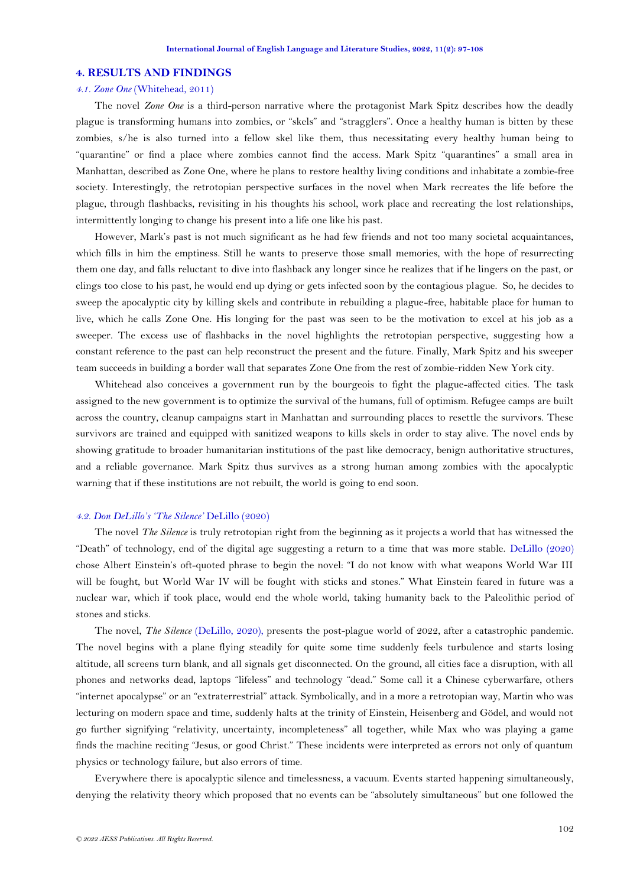#### **4. RESULTS AND FINDINGS**

# *4.1. Zone One* [\(Whitehead, 2011\)](#page-11-0)

The novel *Zone One* is a third-person narrative where the protagonist Mark Spitz describes how the deadly plague is transforming humans into zombies, or "skels" and "stragglers". Once a healthy human is bitten by these zombies, s/he is also turned into a fellow skel like them, thus necessitating every healthy human being to "quarantine" or find a place where zombies cannot find the access. Mark Spitz "quarantines" a small area in Manhattan, described as Zone One, where he plans to restore healthy living conditions and inhabitate a zombie-free society. Interestingly, the retrotopian perspective surfaces in the novel when Mark recreates the life before the plague, through flashbacks, revisiting in his thoughts his school, work place and recreating the lost relationships, intermittently longing to change his present into a life one like his past.

However, Mark's past is not much significant as he had few friends and not too many societal acquaintances, which fills in him the emptiness. Still he wants to preserve those small memories, with the hope of resurrecting them one day, and falls reluctant to dive into flashback any longer since he realizes that if he lingers on the past, or clings too close to his past, he would end up dying or gets infected soon by the contagious plague. So, he decides to sweep the apocalyptic city by killing skels and contribute in rebuilding a plague-free, habitable place for human to live, which he calls Zone One. His longing for the past was seen to be the motivation to excel at his job as a sweeper. The excess use of flashbacks in the novel highlights the retrotopian perspective, suggesting how a constant reference to the past can help reconstruct the present and the future. Finally, Mark Spitz and his sweeper team succeeds in building a border wall that separates Zone One from the rest of zombie-ridden New York city.

Whitehead also conceives a government run by the bourgeois to fight the plague-affected cities. The task assigned to the new government is to optimize the survival of the humans, full of optimism. Refugee camps are built across the country, cleanup campaigns start in Manhattan and surrounding places to resettle the survivors. These survivors are trained and equipped with sanitized weapons to kills skels in order to stay alive. The novel ends by showing gratitude to broader humanitarian institutions of the past like democracy, benign authoritative structures, and a reliable governance. Mark Spitz thus survives as a strong human among zombies with the apocalyptic warning that if these institutions are not rebuilt, the world is going to end soon.

### *4.2. Don DeLillo's 'The Silence'* [DeLillo \(2020\)](#page-10-1)

The novel *The Silence* is truly retrotopian right from the beginning as it projects a world that has witnessed the "Death" of technology, end of the digital age suggesting a return to a time that was more stable. [DeLillo \(2020\)](#page-10-1) chose Albert Einstein's oft-quoted phrase to begin the novel: "I do not know with what weapons World War III will be fought, but World War IV will be fought with sticks and stones." What Einstein feared in future was a nuclear war, which if took place, would end the whole world, taking humanity back to the Paleolithic period of stones and sticks.

The novel, *The Silence* [\(DeLillo, 2020\)](#page-10-1), presents the post-plague world of 2022, after a catastrophic pandemic. The novel begins with a plane flying steadily for quite some time suddenly feels turbulence and starts losing altitude, all screens turn blank, and all signals get disconnected. On the ground, all cities face a disruption, with all phones and networks dead, laptops "lifeless" and technology "dead." Some call it a Chinese cyberwarfare, others "internet apocalypse" or an "extraterrestrial" attack. Symbolically, and in a more a retrotopian way, Martin who was lecturing on modern space and time, suddenly halts at the trinity of Einstein, Heisenberg and Gödel, and would not go further signifying "relativity, uncertainty, incompleteness" all together, while Max who was playing a game finds the machine reciting "Jesus, or good Christ." These incidents were interpreted as errors not only of quantum physics or technology failure, but also errors of time.

Everywhere there is apocalyptic silence and timelessness, a vacuum. Events started happening simultaneously, denying the relativity theory which proposed that no events can be "absolutely simultaneous" but one followed the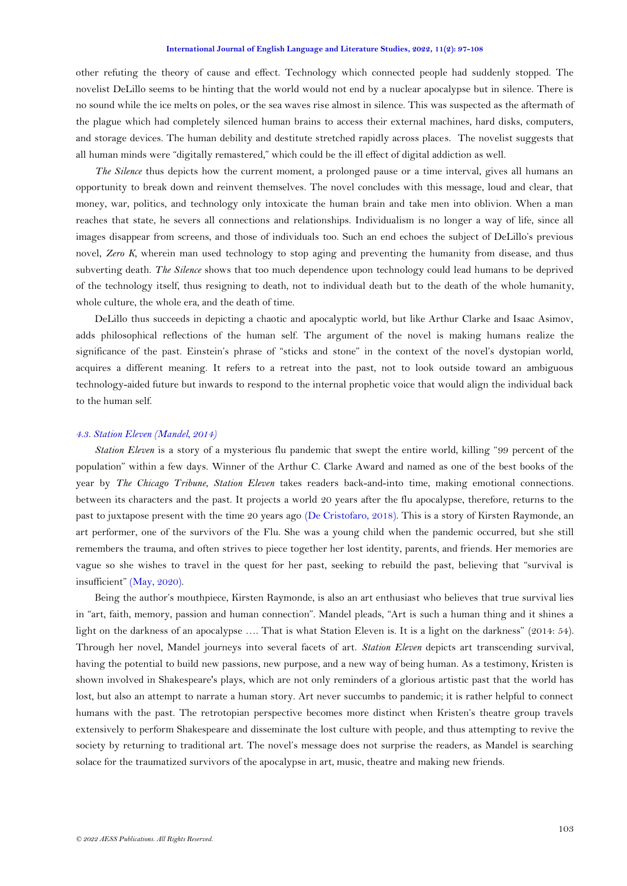other refuting the theory of cause and effect. Technology which connected people had suddenly stopped. The novelist DeLillo seems to be hinting that the world would not end by a nuclear apocalypse but in silence. There is no sound while the ice melts on poles, or the sea waves rise almost in silence. This was suspected as the aftermath of the plague which had completely silenced human brains to access their external machines, hard disks, computers, and storage devices. The human debility and destitute stretched rapidly across places. The novelist suggests that all human minds were "digitally remastered," which could be the ill effect of digital addiction as well.

*The Silence* thus depicts how the current moment, a prolonged pause or a time interval, gives all humans an opportunity to break down and reinvent themselves. The novel concludes with this message, loud and clear, that money, war, politics, and technology only intoxicate the human brain and take men into oblivion. When a man reaches that state, he severs all connections and relationships. Individualism is no longer a way of life, since all images disappear from screens, and those of individuals too. Such an end echoes the subject of DeLillo's previous novel, *Zero K,* wherein man used technology to stop aging and preventing the humanity from disease, and thus subverting death. *The Silence* shows that too much dependence upon technology could lead humans to be deprived of the technology itself, thus resigning to death, not to individual death but to the death of the whole humanity, whole culture, the whole era, and the death of time.

DeLillo thus succeeds in depicting a chaotic and apocalyptic world, but like Arthur Clarke and Isaac Asimov, adds philosophical reflections of the human self. The argument of the novel is making humans realize the significance of the past. Einstein's phrase of "sticks and stone" in the context of the novel's dystopian world, acquires a different meaning. It refers to a retreat into the past, not to look outside toward an ambiguous technology-aided future but inwards to respond to the internal prophetic voice that would align the individual back to the human self.

### *4.3. Station Eleven [\(Mandel, 2014\)](#page-10-0)*

*Station Eleven* is a story of a mysterious flu pandemic that swept the entire world, killing "99 percent of the population" within a few days. Winner of the Arthur C. Clarke Award and named as one of the best books of the year by *The Chicago Tribune*, *Station Eleven* takes readers back-and-into time, making emotional connections. between its characters and the past. It projects a world 20 years after the flu apocalypse, therefore, returns to the past to juxtapose present with the time 20 years ago [\(De Cristofaro, 2018\)](#page-10-17). This is a story of Kirsten Raymonde, an art performer, one of the survivors of the Flu. She was a young child when the pandemic occurred, but she still remembers the trauma, and often strives to piece together her lost identity, parents, and friends. Her memories are vague so she wishes to travel in the quest for her past, seeking to rebuild the past, believing that "survival is insufficient" [\(May, 2020\)](#page-10-2).

Being the author's mouthpiece, Kirsten Raymonde, is also an art enthusiast who believes that true survival lies in "art, faith, memory, passion and human connection". Mandel pleads, "Art is such a human thing and it shines a light on the darkness of an apocalypse …. That is what Station Eleven is. It is a light on the darkness" (2014: 54). Through her novel, Mandel journeys into several facets of art. *Station Eleven* depicts art transcending survival, having the potential to build new passions, new purpose, and a new way of being human. As a testimony, Kristen is shown involved in Shakespeare's plays, which are not only reminders of a glorious artistic past that the world has lost, but also an attempt to narrate a human story. Art never succumbs to pandemic; it is rather helpful to connect humans with the past. The retrotopian perspective becomes more distinct when Kristen's theatre group travels extensively to perform Shakespeare and disseminate the lost culture with people, and thus attempting to revive the society by returning to traditional art. The novel's message does not surprise the readers, as Mandel is searching solace for the traumatized survivors of the apocalypse in art, music, theatre and making new friends.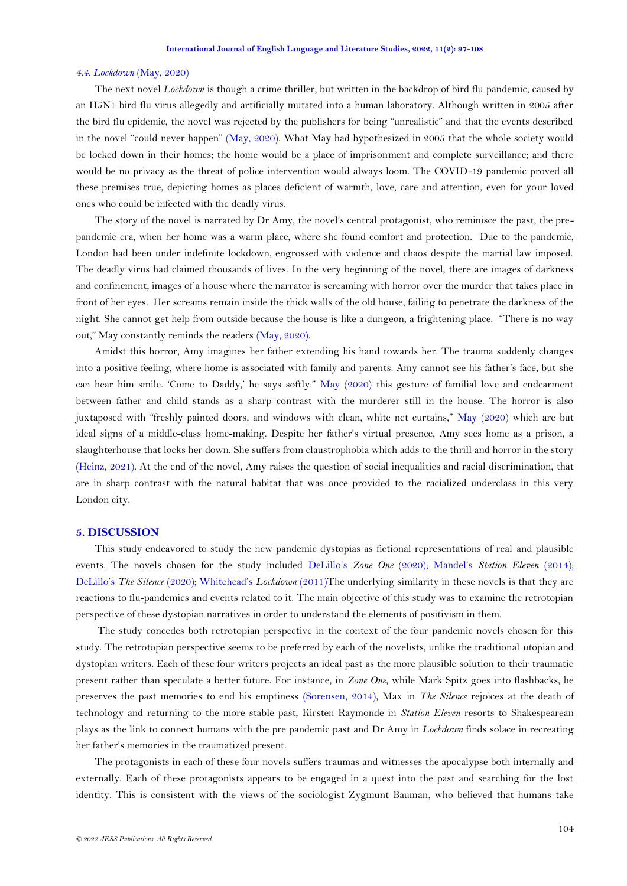### *4.4. Lockdown* [\(May, 2020\)](#page-10-2)

The next novel *Lockdown* is though a crime thriller, but written in the backdrop of bird flu pandemic, caused by an H5N1 bird flu virus allegedly and artificially mutated into a human laboratory. Although written in 2005 after the bird flu epidemic, the novel was rejected by the publishers for being "unrealistic" and that the events described in the novel "could never happen" [\(May, 2020\)](#page-10-2). What May had hypothesized in 2005 that the whole society would be locked down in their homes; the home would be a place of imprisonment and complete surveillance; and there would be no privacy as the threat of police intervention would always loom. The COVID-19 pandemic proved all these premises true, depicting homes as places deficient of warmth, love, care and attention, even for your loved ones who could be infected with the deadly virus.

The story of the novel is narrated by Dr Amy, the novel's central protagonist, who reminisce the past, the prepandemic era, when her home was a warm place, where she found comfort and protection. Due to the pandemic, London had been under indefinite lockdown, engrossed with violence and chaos despite the martial law imposed. The deadly virus had claimed thousands of lives. In the very beginning of the novel, there are images of darkness and confinement, images of a house where the narrator is screaming with horror over the murder that takes place in front of her eyes. Her screams remain inside the thick walls of the old house, failing to penetrate the darkness of the night. She cannot get help from outside because the house is like a dungeon, a frightening place. "There is no way out," May constantly reminds the readers [\(May, 2020\)](#page-10-2).

Amidst this horror, Amy imagines her father extending his hand towards her. The trauma suddenly changes into a positive feeling, where home is associated with family and parents. Amy cannot see his father's face, but she can hear him smile. 'Come to Daddy,' he says softly." [May \(2020\)](#page-10-2) this gesture of familial love and endearment between father and child stands as a sharp contrast with the murderer still in the house. The horror is also juxtaposed with "freshly painted doors, and windows with clean, white net curtains," [May \(2020\)](#page-10-2) which are but ideal signs of a middle-class home-making. Despite her father's virtual presence, Amy sees home as a prison, a slaughterhouse that locks her down. She suffers from claustrophobia which adds to the thrill and horror in the story [\(Heinz, 2021\)](#page-10-18). At the end of the novel, Amy raises the question of social inequalities and racial discrimination, that are in sharp contrast with the natural habitat that was once provided to the racialized underclass in this very London city.

### **5. DISCUSSION**

This study endeavored to study the new pandemic dystopias as fictional representations of real and plausible events. The novels chosen for the study included DeLillo's *[Zone One](#page-10-1)* (2020); Mandel's *[Station Eleven](#page-10-0)* (2014); DeLillo's *[The Silence](#page-10-1)* (2020); [Whitehead](#page-11-0)'s *Lockdown* (2011)The underlying similarity in these novels is that they are reactions to flu-pandemics and events related to it. The main objective of this study was to examine the retrotopian perspective of these dystopian narratives in order to understand the elements of positivism in them.

The study concedes both retrotopian perspective in the context of the four pandemic novels chosen for this study. The retrotopian perspective seems to be preferred by each of the novelists, unlike the traditional utopian and dystopian writers. Each of these four writers projects an ideal past as the more plausible solution to their traumatic present rather than speculate a better future. For instance, in *Zone One*, while Mark Spitz goes into flashbacks, he preserves the past memories to end his emptiness [\(Sorensen, 2014\)](#page-11-8), Max in *The Silence* rejoices at the death of technology and returning to the more stable past, Kirsten Raymonde in *Station Eleven* resorts to Shakespearean plays as the link to connect humans with the pre pandemic past and Dr Amy in *Lockdown* finds solace in recreating her father's memories in the traumatized present.

The protagonists in each of these four novels suffers traumas and witnesses the apocalypse both internally and externally. Each of these protagonists appears to be engaged in a quest into the past and searching for the lost identity. This is consistent with the views of the sociologist Zygmunt Bauman, who believed that humans take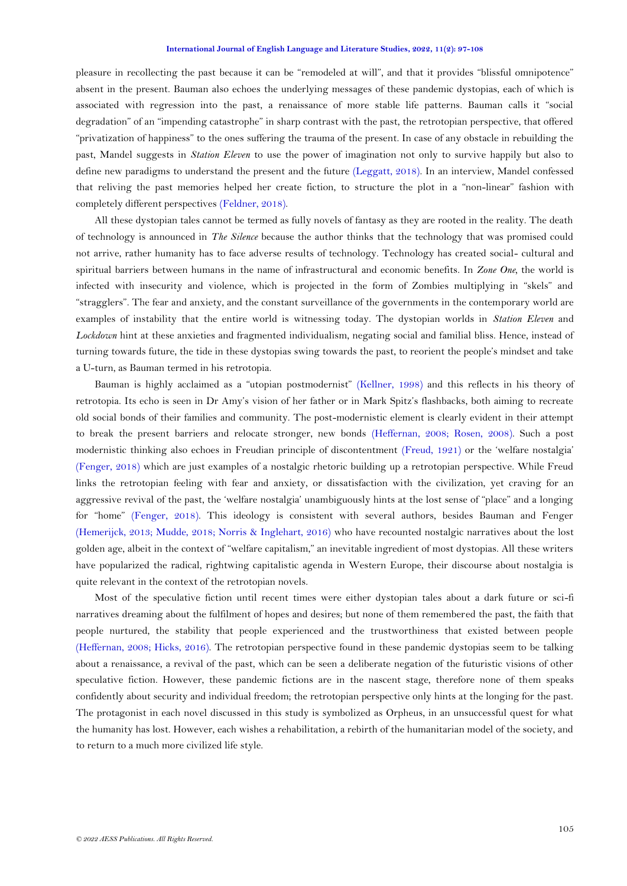pleasure in recollecting the past because it can be "remodeled at will", and that it provides "blissful omnipotence" absent in the present. Bauman also echoes the underlying messages of these pandemic dystopias, each of which is associated with regression into the past, a renaissance of more stable life patterns. Bauman calls it "social degradation" of an "impending catastrophe" in sharp contrast with the past, the retrotopian perspective, that offered "privatization of happiness" to the ones suffering the trauma of the present. In case of any obstacle in rebuilding the past, Mandel suggests in *Station Eleven* to use the power of imagination not only to survive happily but also to define new paradigms to understand the present and the future [\(Leggatt, 2018\)](#page-10-19). In an interview, Mandel confessed that reliving the past memories helped her create fiction, to structure the plot in a "non-linear" fashion with completely different perspectives [\(Feldner, 2018\)](#page-10-20).

All these dystopian tales cannot be termed as fully novels of fantasy as they are rooted in the reality. The death of technology is announced in *The Silence* because the author thinks that the technology that was promised could not arrive, rather humanity has to face adverse results of technology. Technology has created social- cultural and spiritual barriers between humans in the name of infrastructural and economic benefits. In *Zone One,* the world is infected with insecurity and violence, which is projected in the form of Zombies multiplying in "skels" and "stragglers". The fear and anxiety, and the constant surveillance of the governments in the contemporary world are examples of instability that the entire world is witnessing today. The dystopian worlds in *Station Eleven* and *Lockdown* hint at these anxieties and fragmented individualism, negating social and familial bliss. Hence, instead of turning towards future, the tide in these dystopias swing towards the past, to reorient the people's mindset and take a U-turn, as Bauman termed in his retrotopia.

Bauman is highly acclaimed as a "utopian postmodernist" [\(Kellner, 1998\)](#page-10-21) and this reflects in his theory of retrotopia. Its echo is seen in Dr Amy's vision of her father or in Mark Spitz's flashbacks, both aiming to recreate old social bonds of their families and community. The post-modernistic element is clearly evident in their attempt to break the present barriers and relocate stronger, new bonds [\(Heffernan, 2008;](#page-10-22) [Rosen, 2008\)](#page-11-9). Such a post modernistic thinking also echoes in Freudian principle of discontentment [\(Freud, 1921\)](#page-10-23) or the 'welfare nostalgia' [\(Fenger, 2018\)](#page-10-24) which are just examples of a nostalgic rhetoric building up a retrotopian perspective. While Freud links the retrotopian feeling with fear and anxiety, or dissatisfaction with the civilization, yet craving for an aggressive revival of the past, the 'welfare nostalgia' unambiguously hints at the lost sense of "place" and a longing for "home" [\(Fenger, 2018\)](#page-10-24). This ideology is consistent with several authors, besides Bauman and Fenger [\(Hemerijck, 2013;](#page-10-25) [Mudde, 2018;](#page-11-10) [Norris & Inglehart, 2016\)](#page-11-11) who have recounted nostalgic narratives about the lost golden age, albeit in the context of "welfare capitalism," an inevitable ingredient of most dystopias. All these writers have popularized the radical, rightwing capitalistic agenda in Western Europe, their discourse about nostalgia is quite relevant in the context of the retrotopian novels.

Most of the speculative fiction until recent times were either dystopian tales about a dark future or sci-fi narratives dreaming about the fulfilment of hopes and desires; but none of them remembered the past, the faith that people nurtured, the stability that people experienced and the trustworthiness that existed between people [\(Heffernan, 2008;](#page-10-22) [Hicks, 2016\)](#page-10-26). The retrotopian perspective found in these pandemic dystopias seem to be talking about a renaissance, a revival of the past, which can be seen a deliberate negation of the futuristic visions of other speculative fiction. However, these pandemic fictions are in the nascent stage, therefore none of them speaks confidently about security and individual freedom; the retrotopian perspective only hints at the longing for the past. The protagonist in each novel discussed in this study is symbolized as Orpheus, in an unsuccessful quest for what the humanity has lost. However, each wishes a rehabilitation, a rebirth of the humanitarian model of the society, and to return to a much more civilized life style.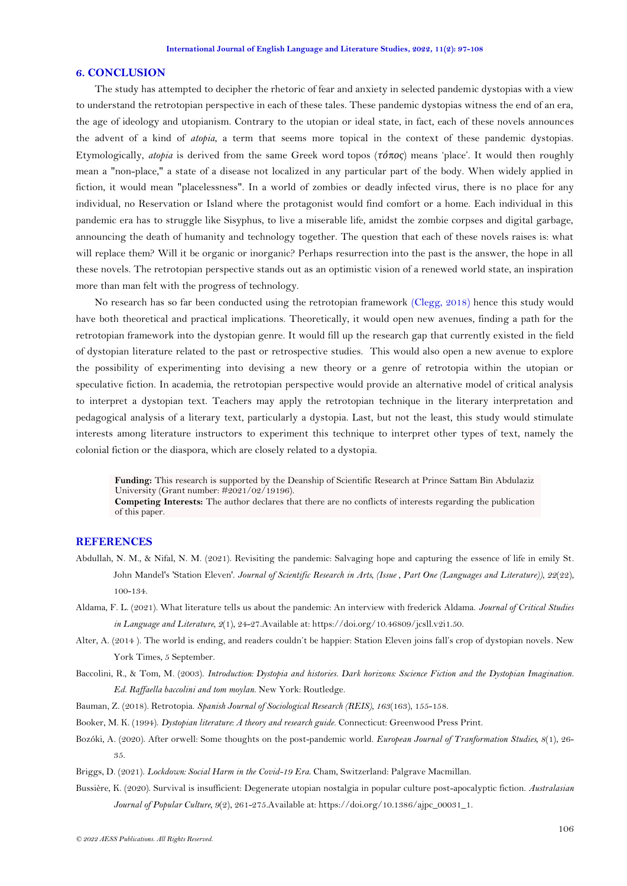#### **6. CONCLUSION**

The study has attempted to decipher the rhetoric of fear and anxiety in selected pandemic dystopias with a view to understand the retrotopian perspective in each of these tales. These pandemic dystopias witness the end of an era, the age of ideology and utopianism. Contrary to the utopian or ideal state, in fact, each of these novels announces the advent of a kind of *atopia*, a term that seems more topical in the context of these pandemic dystopias. Etymologically, *atopia* is derived from the same Greek word topos (*τόπος*) means 'place'. It would then roughly mean a "non-place," a state of a disease not localized in any particular part of the body. When widely applied in fiction, it would mean "placelessness". In a world of zombies or deadly infected virus, there is no place for any individual, no Reservation or Island where the protagonist would find comfort or a home. Each individual in this pandemic era has to struggle like Sisyphus, to live a miserable life, amidst the zombie corpses and digital garbage, announcing the death of humanity and technology together. The question that each of these novels raises is: what will replace them? Will it be organic or inorganic? Perhaps resurrection into the past is the answer, the hope in all these novels. The retrotopian perspective stands out as an optimistic vision of a renewed world state, an inspiration more than man felt with the progress of technology.

No research has so far been conducted using the retrotopian framework [\(Clegg, 2018\)](#page-10-5) hence this study would have both theoretical and practical implications. Theoretically, it would open new avenues, finding a path for the retrotopian framework into the dystopian genre. It would fill up the research gap that currently existed in the field of dystopian literature related to the past or retrospective studies. This would also open a new avenue to explore the possibility of experimenting into devising a new theory or a genre of retrotopia within the utopian or speculative fiction. In academia, the retrotopian perspective would provide an alternative model of critical analysis to interpret a dystopian text. Teachers may apply the retrotopian technique in the literary interpretation and pedagogical analysis of a literary text, particularly a dystopia. Last, but not the least, this study would stimulate interests among literature instructors to experiment this technique to interpret other types of text, namely the colonial fiction or the diaspora, which are closely related to a dystopia.

**Funding:** This research is supported by the Deanship of Scientific Research at Prince Sattam Bin Abdulaziz University (Grant number: #2021/02/19196).

**Competing Interests:** The author declares that there are no conflicts of interests regarding the publication of this paper.

### **REFERENCES**

- <span id="page-9-1"></span>Abdullah, N. M., & Nifal, N. M. (2021). Revisiting the pandemic: Salvaging hope and capturing the essence of life in emily St. John Mandel's 'Station Eleven'. *Journal of Scientific Research in Arts, (Issue , Part One (Languages and Literature)), 22*(22), 100-134.
- <span id="page-9-6"></span>Aldama, F. L. (2021). What literature tells us about the pandemic: An interview with frederick Aldama. *Journal of Critical Studies in Language and Literature, 2*(1), 24-27.Available at: https://doi.org/10.46809/jcsll.v2i1.50.
- <span id="page-9-7"></span>Alter, A. (2014 ). The world is ending, and readers couldn't be happier: Station Eleven joins fall's crop of dystopian novels. New York Times, 5 September.
- <span id="page-9-0"></span>Baccolini, R., & Tom, M. (2003). *Introduction: Dystopia and histories. Dark horizons: Sscience Fiction and the Dystopian Imagination. Ed. Raffaella baccolini and tom moylan*. New York: Routledge.
- <span id="page-9-2"></span>Bauman, Z. (2018). Retrotopia. *Spanish Journal of Sociological Research (REIS), 163*(163), 155-158.
- <span id="page-9-3"></span>Booker, M. K. (1994). *Dystopian literature: A theory and research guide*. Connecticut: Greenwood Press Print.
- <span id="page-9-4"></span>Bozóki, A. (2020). After orwell: Some thoughts on the post-pandemic world. *European Journal of Tranformation Studies, 8*(1), 26- 35.

<span id="page-9-8"></span>Briggs, D. (2021). *Lockdown: Social Harm in the Covid-19 Era*. Cham, Switzerland: Palgrave Macmillan.

<span id="page-9-5"></span>Bussière, K. (2020). Survival is insufficient: Degenerate utopian nostalgia in popular culture post-apocalyptic fiction. *Australasian Journal of Popular Culture, 9*(2), 261-275.Available at: https://doi.org/10.1386/ajpc\_00031\_1.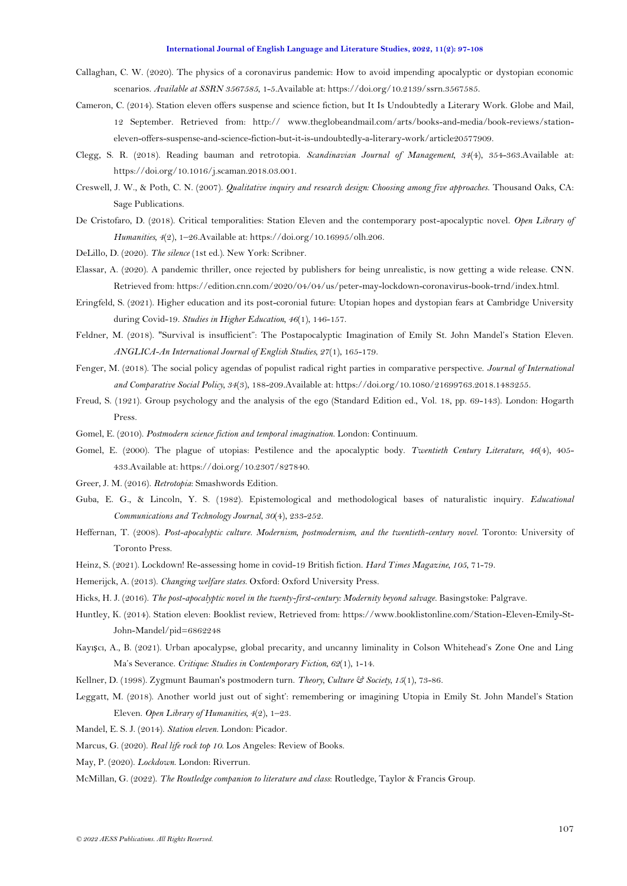- <span id="page-10-8"></span>Callaghan, C. W. (2020). The physics of a coronavirus pandemic: How to avoid impending apocalyptic or dystopian economic scenarios. *Available at SSRN 3567585*, 1-5.Available at: https://doi.org/10.2139/ssrn.3567585.
- <span id="page-10-10"></span>Cameron, C. (2014). Station eleven offers suspense and science fiction, but It Is Undoubtedly a Literary Work. Globe and Mail, 12 September. Retrieved from: http:// www.theglobeandmail.com/arts/books-and-media/book-reviews/stationeleven-offers-suspense-and-science-fiction-but-it-is-undoubtedly-a-literary-work/article20577909.
- <span id="page-10-5"></span>Clegg, S. R. (2018). Reading bauman and retrotopia. *Scandinavian Journal of Management, 34*(4), 354-363.Available at: https://doi.org/10.1016/j.scaman.2018.03.001.
- <span id="page-10-15"></span>Creswell, J. W., & Poth, C. N. (2007). *Qualitative inquiry and research design: Choosing among five approaches*. Thousand Oaks, CA: Sage Publications.
- <span id="page-10-17"></span>De Cristofaro, D. (2018). Critical temporalities: Station Eleven and the contemporary post-apocalyptic novel. *Open Library of Humanities, 4*(2), 1–26.Available at: https://doi.org/10.16995/olh.206.
- <span id="page-10-1"></span>DeLillo, D. (2020). *The silence* (1st ed.). New York: Scribner.
- <span id="page-10-13"></span>Elassar, A. (2020). A pandemic thriller, once rejected by publishers for being unrealistic, is now getting a wide release. CNN. Retrieved from: https://edition.cnn.com/2020/04/04/us/peter-may-lockdown-coronavirus-book-trnd/index.html.
- <span id="page-10-3"></span>Eringfeld, S. (2021). Higher education and its post-coronial future: Utopian hopes and dystopian fears at Cambridge University during Covid-19. *Studies in Higher Education, 46*(1), 146-157.
- <span id="page-10-20"></span>Feldner, M. (2018). "Survival is insufficient": The Postapocalyptic Imagination of Emily St. John Mandel's Station Eleven. *ANGLICA-An International Journal of English Studies, 27*(1), 165-179.
- <span id="page-10-24"></span>Fenger, M. (2018). The social policy agendas of populist radical right parties in comparative perspective. *Journal of International and Comparative Social Policy, 34*(3), 188-209.Available at: https://doi.org/10.1080/21699763.2018.1483255.
- <span id="page-10-23"></span>Freud, S. (1921). Group psychology and the analysis of the ego (Standard Edition ed., Vol. 18, pp. 69-143). London: Hogarth Press.
- <span id="page-10-7"></span>Gomel, E. (2010). *Postmodern science fiction and temporal imagination*. London: Continuum.
- <span id="page-10-6"></span>Gomel, E. (2000). The plague of utopias: Pestilence and the apocalyptic body. *Twentieth Century Literature, 46*(4), 405- 433.Available at: https://doi.org/10.2307/827840.
- <span id="page-10-14"></span>Greer, J. M. (2016). *Retrotopia*: Smashwords Edition.
- <span id="page-10-16"></span>Guba, E. G., & Lincoln, Y. S. (1982). Epistemological and methodological bases of naturalistic inquiry. *Educational Communications and Technology Journal, 30*(4), 233-252.
- <span id="page-10-22"></span>Heffernan, T. (2008). *Post-apocalyptic culture. Modernism, postmodernism, and the twentieth-century novel*. Toronto: University of Toronto Press.
- <span id="page-10-18"></span>Heinz, S. (2021). Lockdown! Re-assessing home in covid-19 British fiction. *Hard Times Magazine, 105*, 71-79.
- <span id="page-10-25"></span>Hemerijck, A. (2013). *Changing welfare states*. Oxford: Oxford University Press.
- <span id="page-10-26"></span>Hicks, H. J. (2016). *The post-apocalyptic novel in the twenty-first-century: Modernity beyond salvage*. Basingstoke: Palgrave.
- <span id="page-10-11"></span>Huntley, K. (2014). Station eleven: Booklist review, Retrieved from: https://www.booklistonline.com/Station-Eleven-Emily-St-John-Mandel/pid=6862248
- <span id="page-10-9"></span>Kayışcı, A., B. (2021). Urban apocalypse, global precarity, and uncanny liminality in Colson Whitehead's Zone One and Ling Ma's Severance. *Critique: Studies in Contemporary Fiction, 62*(1), 1-14.
- <span id="page-10-21"></span>Kellner, D. (1998). Zygmunt Bauman's postmodern turn. *Theory, Culture & Society, 15*(1), 73-86.
- <span id="page-10-19"></span>Leggatt, M. (2018). Another world just out of sight': remembering or imagining Utopia in Emily St. John Mandel's Station Eleven. *Open Library of Humanities, 4*(2), 1–23.
- <span id="page-10-0"></span>Mandel, E. S. J. (2014). *Station eleven*. London: Picador.
- <span id="page-10-12"></span>Marcus, G. (2020). *Real life rock top 10*. Los Angeles: Review of Books.
- <span id="page-10-2"></span>May, P. (2020). *Lockdown*. London: Riverrun.

<span id="page-10-4"></span>McMillan, G. (2022). *The Routledge companion to literature and class*: Routledge, Taylor & Francis Group.